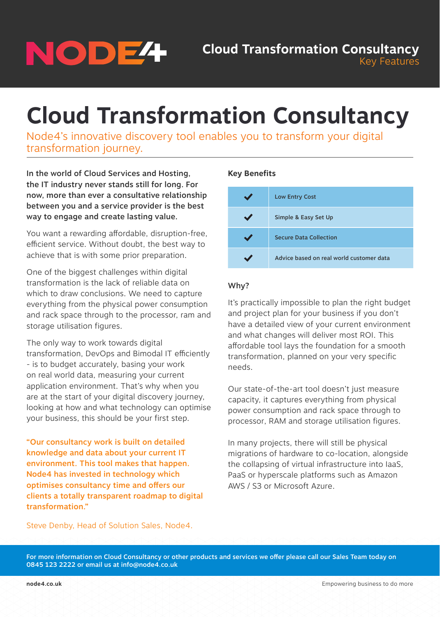# NODE<sup>4</sup>

## **Cloud Transformation Consultancy**

Node4's innovative discovery tool enables you to transform your digital transformation journey.

In the world of Cloud Services and Hosting, the IT industry never stands still for long. For now, more than ever a consultative relationship between you and a service provider is the best way to engage and create lasting value.

You want a rewarding affordable, disruption-free, efficient service. Without doubt, the best way to achieve that is with some prior preparation.

One of the biggest challenges within digital transformation is the lack of reliable data on which to draw conclusions. We need to capture everything from the physical power consumption and rack space through to the processor, ram and storage utilisation figures.

The only way to work towards digital transformation, DevOps and Bimodal IT efficiently - is to budget accurately, basing your work on real world data, measuring your current application environment. That's why when you are at the start of your digital discovery journey, looking at how and what technology can optimise your business, this should be your first step.

"Our consultancy work is built on detailed knowledge and data about your current IT environment. This tool makes that happen. Node4 has invested in technology which optimises consultancy time and offers our clients a totally transparent roadmap to digital transformation."

#### **Key Benefits**



#### Why?

It's practically impossible to plan the right budget and project plan for your business if you don't have a detailed view of your current environment and what changes will deliver most ROI. This affordable tool lays the foundation for a smooth transformation, planned on your very specific needs.

Our state-of-the-art tool doesn't just measure capacity, it captures everything from physical power consumption and rack space through to processor, RAM and storage utilisation figures.

In many projects, there will still be physical migrations of hardware to co-location, alongside the collapsing of virtual infrastructure into IaaS, PaaS or hyperscale platforms such as Amazon AWS / S3 or Microsoft Azure.

Steve Denby, Head of Solution Sales, Node4.

For more information on Cloud Consultancy or other products and services we offer please call our Sales Team today on 0845 123 2222 or email us at info@node4.co.uk